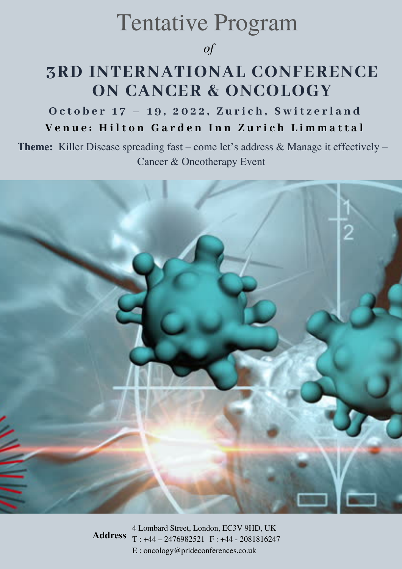## Tentative Program

### *of*

### **3RD INTERNATIONAL CONFERENCE ON CANCER & ONCOLOGY**

October 17 - 19, 2022, Zurich, Switzerland Venue: Hilton Garden Inn Zurich Limmattal

**Theme:** Killer Disease spreading fast – come let's address & Manage it effectively – Cancer & Oncotherapy Event



4 Lombard Street, London, EC3V 9HD, UK T : +44 – 2476982521 F : +44 - 2081816247 E : oncology@prideconferences.co.uk **Address**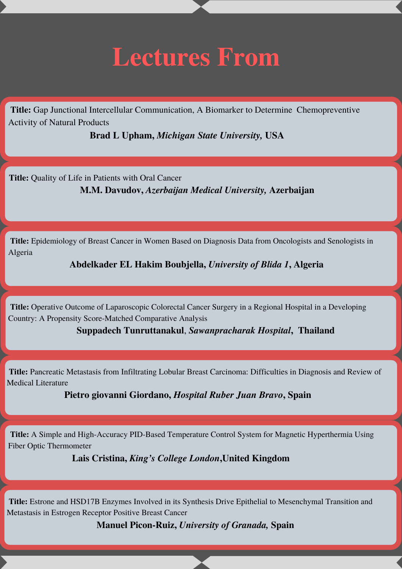# **Lectures From**

**Title:** Gap Junctional Intercellular Communication, A Biomarker to Determine Chemopreventive Activity of Natural Products

**Brad L Upham,** *Michigan State University,* **USA**

**Title:** Quality of Life in Patients with Oral Cancer

**M.M. Davudov,** *Azerbaijan Medical University,* **Azerbaijan**

**Title:** Epidemiology of Breast Cancer in Women Based on Diagnosis Data from Oncologists and Senologists in Algeria

**Abdelkader EL Hakim Boubjella,** *University of Blida 1***, Algeria**

**Title:** Operative Outcome of Laparoscopic Colorectal Cancer Surgery in a Regional Hospital in a Developing Country: A Propensity Score-Matched Comparative Analysis

**Suppadech Tunruttanakul**, *Sawanpracharak Hospital***, Thailand**

**Title:** Pancreatic Metastasis from Infiltrating Lobular Breast Carcinoma: Difficulties in Diagnosis and Review of Medical Literature

**Pietro giovanni Giordano,** *Hospital Ruber Juan Bravo***, Spain**

**Title:** A Simple and High‐Accuracy PID‐Based Temperature Control System for Magnetic Hyperthermia Using Fiber Optic Thermometer

**Lais Cristina,** *King's College London***,United Kingdom**

**Title:** Estrone and HSD17B Enzymes Involved in its Synthesis Drive Epithelial to Mesenchymal Transition and Metastasis in Estrogen Receptor Positive Breast Cancer

**Manuel Picon-Ruiz,** *University of Granada,* **Spain**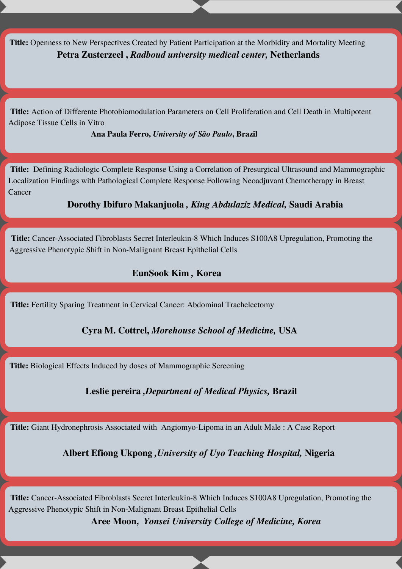**Title:** Openness to New Perspectives Created by Patient Participation at the Morbidity and Mortality Meeting **Petra Zusterzeel ,** *Radboud university medical center,* **Netherlands**

**Title:** Action of Differente Photobiomodulation Parameters on Cell Proliferation and Cell Death in Multipotent Adipose Tissue Cells in Vitro

**Ana Paula Ferro,** *University of São Paulo***, Brazil**

**Title:** Defining Radiologic Complete Response Using a Correlation of Presurgical Ultrasound and Mammographic Localization Findings with Pathological Complete Response Following Neoadjuvant Chemotherapy in Breast Cancer

**Dorothy Ibifuro Makanjuola** *, King Abdulaziz Medical,* **Saudi Arabia**

**Title:** Cancer‐Associated Fibroblasts Secret Interleukin-8 Which Induces S100A8 Upregulation, Promoting the Aggressive Phenotypic Shift in Non‐Malignant Breast Epithelial Cells

#### **EunSook Kim** *,* **Korea**

**Title:** Fertility Sparing Treatment in Cervical Cancer: Abdominal Trachelectomy

**Cyra M. Cottrel,** *Morehouse School of Medicine,* **USA**

**Title:** Biological Effects Induced by doses of Mammographic Screening

**Leslie pereira** *,Department of Medical Physics,* **Brazil**

**Title:** Giant Hydronephrosis Associated with Angiomyo-Lipoma in an Adult Male : A Case Report

**Albert Efiong Ukpong** *,University of Uyo Teaching Hospital,* **Nigeria**

**Title:** Cancer‐Associated Fibroblasts Secret Interleukin-8 Which Induces S100A8 Upregulation, Promoting the Aggressive Phenotypic Shift in Non‐Malignant Breast Epithelial Cells **Aree Moon,** *Yonsei University College of Medicine, Korea*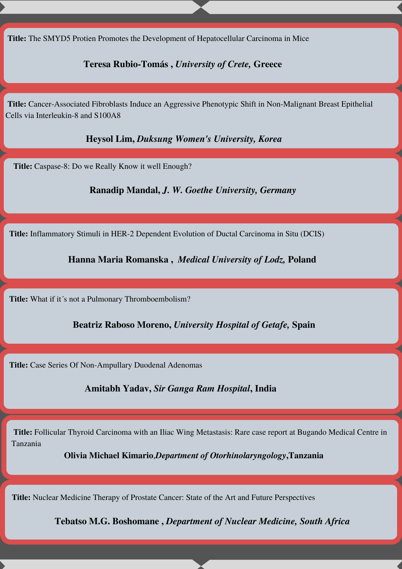**Title:** The SMYD5 Protien Promotes the Development of Hepatocellular Carcinoma in Mice

#### **Teresa Rubio-Tomás ,** *University of Crete,* **Greece**

**Title:** Cancer-Associated Fibroblasts Induce an Aggressive Phenotypic Shift in Non-Malignant Breast Epithelial Cells via Interleukin-8 and S100A8

**Heysol Lim,** *Duksung Women's University, Korea*

**Title:** Caspase-8: Do we Really Know it well Enough?

**Ranadip Mandal,** *J. W. Goethe University, Germany*

**Title:** Inflammatory Stimuli in HER-2 Dependent Evolution of Ductal Carcinoma in Situ (DCIS)

**Hanna Maria Romanska ,** *Medical University of Lodz,* **Poland**

Title: What if it's not a Pulmonary Thromboembolism?

**Beatriz Raboso Moreno,** *University Hospital of Getafe,* **Spain**

**Title:** Case Series Of Non-Ampullary Duodenal Adenomas

**Amitabh Yadav,** *Sir Ganga Ram Hospital***, India**

**Title:** Follicular Thyroid Carcinoma with an Iliac Wing Metastasis: Rare case report at Bugando Medical Centre in Tanzania and a control of the control of the control of the control of the control of the control of the control of

**Olivia Michael Kimario**,*Department of Otorhinolaryngology***,Tanzania**

**Title:** Nuclear Medicine Therapy of Prostate Cancer: State of the Art and Future Perspectives

**Tebatso M.G. Boshomane ,** *Department of Nuclear Medicine, South Africa*